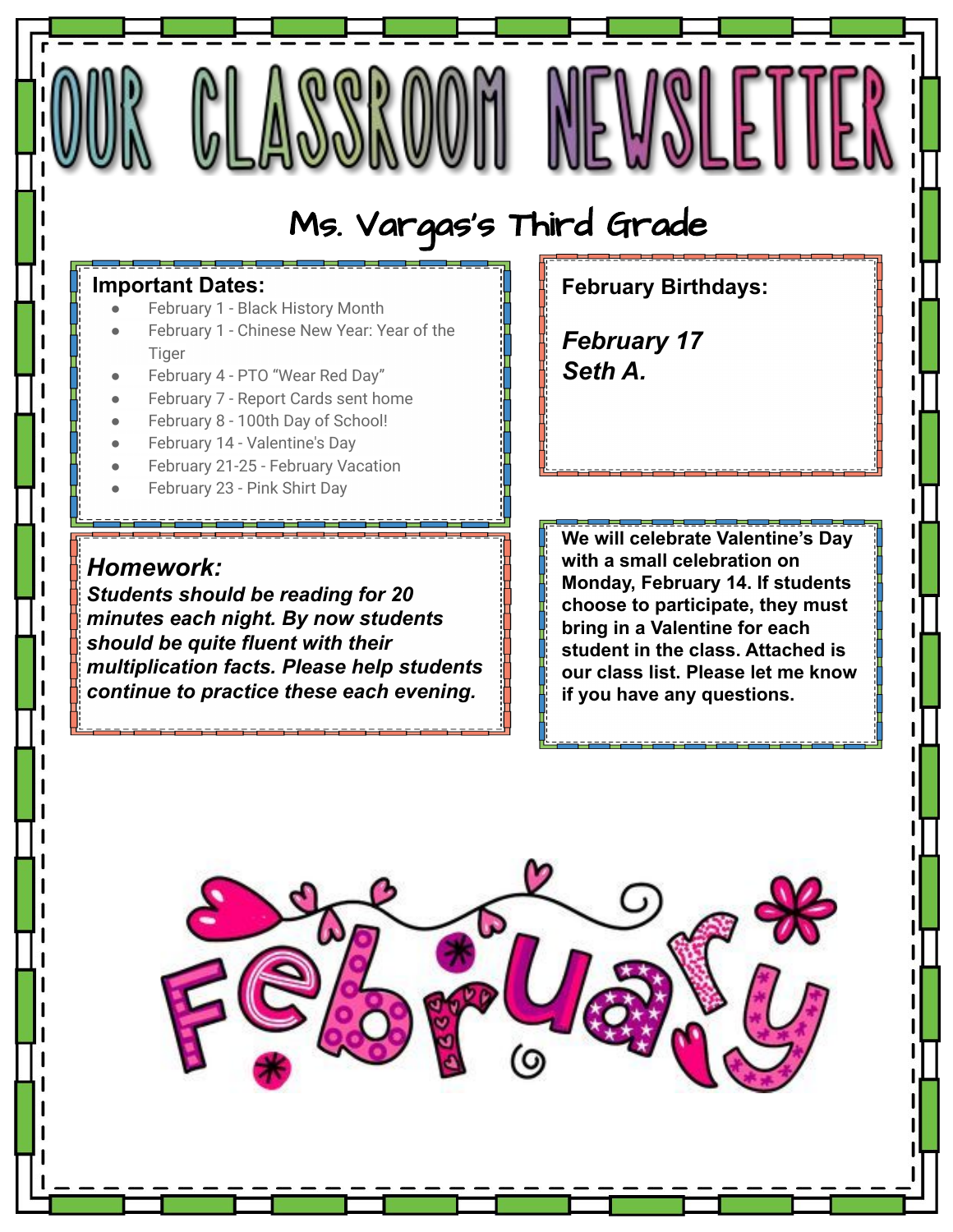